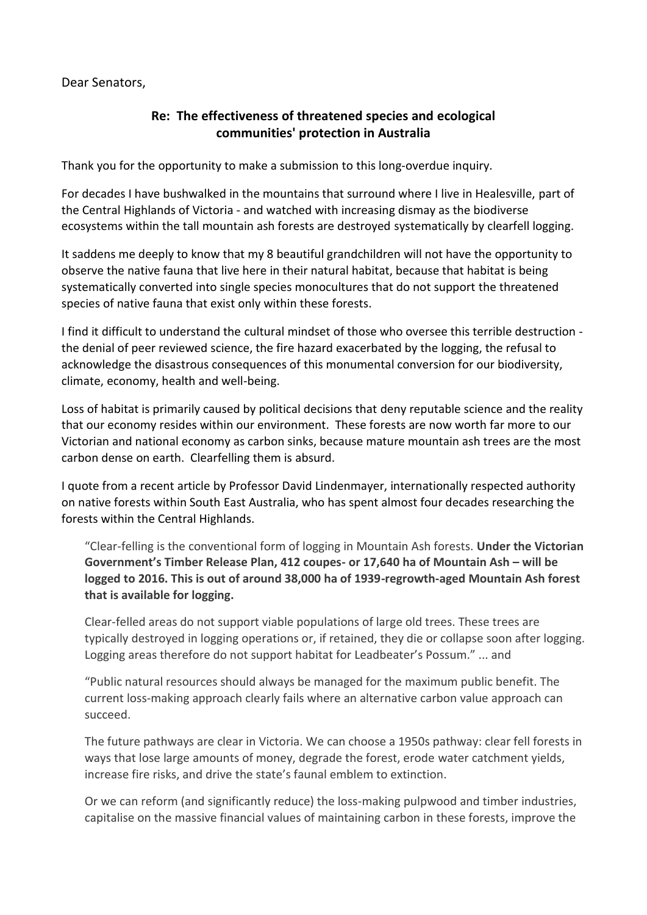Dear Senators,

## **Re: The effectiveness of threatened species and ecological communities' protection in Australia**

Thank you for the opportunity to make a submission to this long-overdue inquiry.

For decades I have bushwalked in the mountains that surround where I live in Healesville, part of the Central Highlands of Victoria - and watched with increasing dismay as the biodiverse ecosystems within the tall mountain ash forests are destroyed systematically by clearfell logging.

It saddens me deeply to know that my 8 beautiful grandchildren will not have the opportunity to observe the native fauna that live here in their natural habitat, because that habitat is being systematically converted into single species monocultures that do not support the threatened species of native fauna that exist only within these forests.

I find it difficult to understand the cultural mindset of those who oversee this terrible destruction the denial of peer reviewed science, the fire hazard exacerbated by the logging, the refusal to acknowledge the disastrous consequences of this monumental conversion for our biodiversity, climate, economy, health and well-being.

Loss of habitat is primarily caused by political decisions that deny reputable science and the reality that our economy resides within our environment. These forests are now worth far more to our Victorian and national economy as carbon sinks, because mature mountain ash trees are the most carbon dense on earth. Clearfelling them is absurd.

I quote from a recent article by Professor David Lindenmayer, internationally respected authority on native forests within South East Australia, who has spent almost four decades researching the forests within the Central Highlands.

"Clear-felling is the conventional form of logging in Mountain Ash forests. **Under the Victorian Government's Timber Release Plan, 412 coupes- or 17,640 ha of Mountain Ash – will be logged to 2016. This is out of around 38,000 ha of 1939-regrowth-aged Mountain Ash forest that is available for logging.**

Clear-felled areas do not support viable populations of large old trees. These trees are typically destroyed in logging operations or, if retained, they die or collapse soon after logging. Logging areas therefore do not support habitat for Leadbeater's Possum." ... and

"Public natural resources should always be managed for the maximum public benefit. The current loss-making approach clearly fails where an alternative carbon value approach can succeed.

The future pathways are clear in Victoria. We can choose a 1950s pathway: clear fell forests in ways that lose large amounts of money, degrade the forest, erode water catchment yields, increase fire risks, and drive the state's faunal emblem to extinction.

Or we can reform (and significantly reduce) the loss-making pulpwood and timber industries, capitalise on the massive financial values of maintaining carbon in these forests, improve the